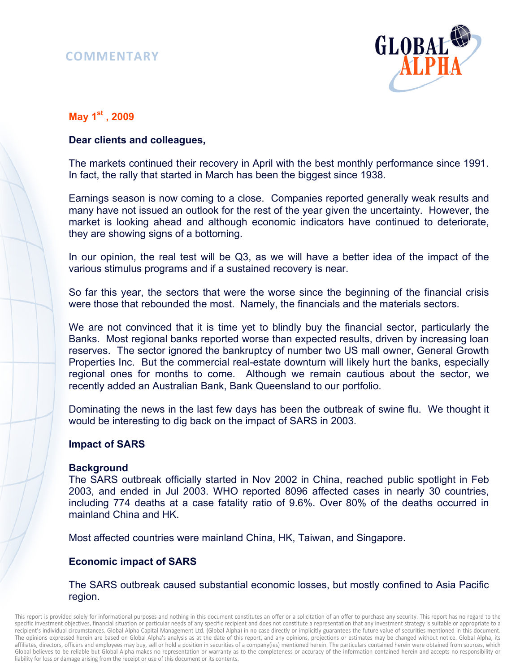# **COMMENTARY**



# **May 1st , 2009**

# **Dear clients and colleagues,**

The markets continued their recovery in April with the best monthly performance since 1991. In fact, the rally that started in March has been the biggest since 1938.

Earnings season is now coming to a close. Companies reported generally weak results and many have not issued an outlook for the rest of the year given the uncertainty. However, the market is looking ahead and although economic indicators have continued to deteriorate, they are showing signs of a bottoming.

In our opinion, the real test will be Q3, as we will have a better idea of the impact of the various stimulus programs and if a sustained recovery is near.

So far this year, the sectors that were the worse since the beginning of the financial crisis were those that rebounded the most. Namely, the financials and the materials sectors.

We are not convinced that it is time yet to blindly buy the financial sector, particularly the Banks. Most regional banks reported worse than expected results, driven by increasing loan reserves. The sector ignored the bankruptcy of number two US mall owner, General Growth Properties Inc. But the commercial real-estate downturn will likely hurt the banks, especially regional ones for months to come. Although we remain cautious about the sector, we recently added an Australian Bank, Bank Queensland to our portfolio.

Dominating the news in the last few days has been the outbreak of swine flu. We thought it would be interesting to dig back on the impact of SARS in 2003.

## **Impact of SARS**

#### **Background**

The SARS outbreak officially started in Nov 2002 in China, reached public spotlight in Feb 2003, and ended in Jul 2003. WHO reported 8096 affected cases in nearly 30 countries, including 774 deaths at a case fatality ratio of 9.6%. Over 80% of the deaths occurred in mainland China and HK.

Most affected countries were mainland China, HK, Taiwan, and Singapore.

## **Economic impact of SARS**

#### The SARS outbreak caused substantial economic losses, but mostly confined to Asia Pacific region.

This report is provided solely for informational purposes and nothing in this document constitutes an offer or a solicitation of an offer to purchase any security. This report has no regard to the specific investment objectives, financial situation or particular needs of any specific recipient and does not constitute a representation that any investment strategy is suitable or appropriate to a recipient's individual circumstances. Global Alpha Capital Management Ltd. (Global Alpha) in no case directly or implicitly guarantees the future value of securities mentioned in this document. The opinions expressed herein are based on Global Alpha's analysis as at the date of this report, and any opinions, projections or estimates may be changed without notice. Global Alpha, its affiliates, directors, officers and employees may buy, sell or hold a position in securities of a company(ies) mentioned herein. The particulars contained herein were obtained from sources, which Global believes to be reliable but Global Alpha makes no representation or warranty as to the completeness or accuracy of the information contained herein and accepts no responsibility or liability for loss or damage arising from the receipt or use of this document or its contents.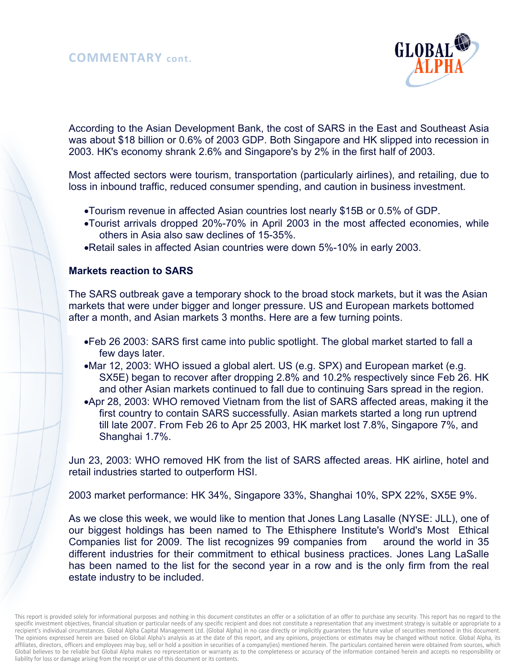

According to the Asian Development Bank, the cost of SARS in the East and Southeast Asia was about \$18 billion or 0.6% of 2003 GDP. Both Singapore and HK slipped into recession in 2003. HK's economy shrank 2.6% and Singapore's by 2% in the first half of 2003.

Most affected sectors were tourism, transportation (particularly airlines), and retailing, due to loss in inbound traffic, reduced consumer spending, and caution in business investment.

- •Tourism revenue in affected Asian countries lost nearly \$15B or 0.5% of GDP.
- •Tourist arrivals dropped 20%-70% in April 2003 in the most affected economies, while others in Asia also saw declines of 15-35%.
- •Retail sales in affected Asian countries were down 5%-10% in early 2003.

#### **Markets reaction to SARS**

The SARS outbreak gave a temporary shock to the broad stock markets, but it was the Asian markets that were under bigger and longer pressure. US and European markets bottomed after a month, and Asian markets 3 months. Here are a few turning points.

- •Feb 26 2003: SARS first came into public spotlight. The global market started to fall a few days later.
- •Mar 12, 2003: WHO issued a global alert. US (e.g. SPX) and European market (e.g. SX5E) began to recover after dropping 2.8% and 10.2% respectively since Feb 26. HK and other Asian markets continued to fall due to continuing Sars spread in the region.
- •Apr 28, 2003: WHO removed Vietnam from the list of SARS affected areas, making it the first country to contain SARS successfully. Asian markets started a long run uptrend till late 2007. From Feb 26 to Apr 25 2003, HK market lost 7.8%, Singapore 7%, and Shanghai 1.7%.

Jun 23, 2003: WHO removed HK from the list of SARS affected areas. HK airline, hotel and retail industries started to outperform HSI.

2003 market performance: HK 34%, Singapore 33%, Shanghai 10%, SPX 22%, SX5E 9%.

As we close this week, we would like to mention that Jones Lang Lasalle (NYSE: JLL), one of our biggest holdings has been named to The Ethisphere Institute's World's Most Ethical Companies list for 2009. The list recognizes 99 companies from around the world in 35 different industries for their commitment to ethical business practices. Jones Lang LaSalle has been named to the list for the second year in a row and is the only firm from the real estate industry to be included.

This report is provided solely for informational purposes and nothing in this document constitutes an offer or a solicitation of an offer to purchase any security. This report has no regard to the specific investment objectives, financial situation or particular needs of any specific recipient and does not constitute a representation that any investment strategy is suitable or appropriate to a recipient's individual circumstances. Global Alpha Capital Management Ltd. (Global Alpha) in no case directly or implicitly guarantees the future value of securities mentioned in this document. The opinions expressed herein are based on Global Alpha's analysis as at the date of this report, and any opinions, projections or estimates may be changed without notice. Global Alpha, its affiliates, directors, officers and employees may buy, sell or hold a position in securities of a company(ies) mentioned herein. The particulars contained herein were obtained from sources, which Global believes to be reliable but Global Alpha makes no representation or warranty as to the completeness or accuracy of the information contained herein and accepts no responsibility or liability for loss or damage arising from the receipt or use of this document or its contents.